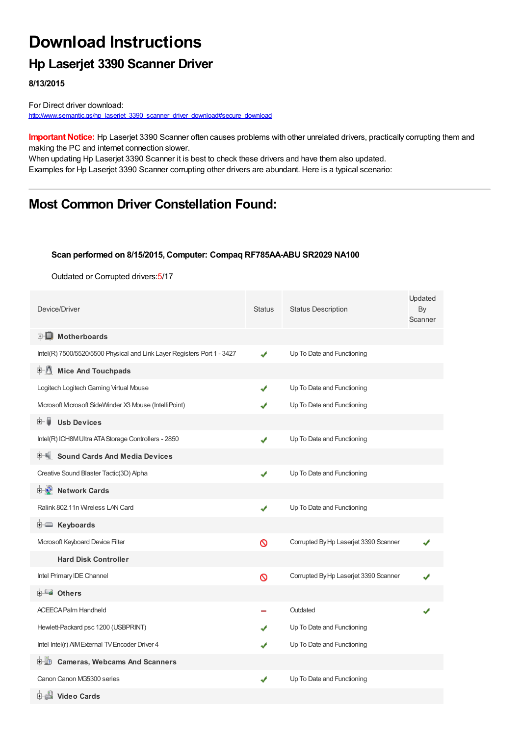# **Download Instructions**

### **Hp Laserjet 3390 Scanner Driver**

**8/13/2015**

For Direct driver download: [http://www.semantic.gs/hp\\_laserjet\\_3390\\_scanner\\_driver\\_download#secure\\_download](http://www.semantic.gs/hp_laserjet_3390_scanner_driver_download#secure_download)

**Important Notice:** Hp Laserjet 3390 Scanner often causes problems with other unrelated drivers, practically corrupting them and making the PC and internet connection slower.

When updating Hp Laserjet 3390 Scanner it is best to check these drivers and have them also updated. Examples for Hp Laserjet 3390 Scanner corrupting other drivers are abundant. Here is a typical scenario:

### **Most Common Driver Constellation Found:**

#### **Scan performed on 8/15/2015, Computer: Compaq RF785AA-ABU SR2029 NA100**

Outdated or Corrupted drivers:5/17

| Device/Driver                                                           | <b>Status</b> | <b>Status Description</b>             | Updated<br>By<br>Scanner |
|-------------------------------------------------------------------------|---------------|---------------------------------------|--------------------------|
| <b>E</b> Motherboards                                                   |               |                                       |                          |
| Intel(R) 7500/5520/5500 Physical and Link Layer Registers Port 1 - 3427 | J             | Up To Date and Functioning            |                          |
| <b>Mice And Touchpads</b><br>E-0                                        |               |                                       |                          |
| Logitech Logitech Gaming Virtual Mouse                                  | J             | Up To Date and Functioning            |                          |
| Microsoft Microsoft SideWinder X3 Mouse (IntelliPoint)                  |               | Up To Date and Functioning            |                          |
| <b>Usb Devices</b><br>田一貫                                               |               |                                       |                          |
| Intel(R) ICH8M Ultra ATA Storage Controllers - 2850                     | ✔             | Up To Date and Functioning            |                          |
| <b>Sound Cards And Media Devices</b>                                    |               |                                       |                          |
| Creative Sound Blaster Tactic(3D) Alpha                                 | ✔             | Up To Date and Functioning            |                          |
| <b>Network Cards</b><br>⊞…L                                             |               |                                       |                          |
| Ralink 802.11n Wireless LAN Card                                        | ✔             | Up To Date and Functioning            |                          |
| <b>i</b> Keyboards                                                      |               |                                       |                          |
| Mcrosoft Keyboard Device Filter                                         | 0             | Corrupted By Hp Laserjet 3390 Scanner |                          |
| <b>Hard Disk Controller</b>                                             |               |                                       |                          |
| Intel Primary IDE Channel                                               | Ø             | Corrupted By Hp Laserjet 3390 Scanner |                          |
| <b>E</b> Others                                                         |               |                                       |                          |
| <b>ACEECA Palm Handheld</b>                                             |               | Outdated                              |                          |
| Hewlett-Packard psc 1200 (USBPRINT)                                     |               | Up To Date and Functioning            |                          |
| Intel Intel(r) AIM External TV Encoder Driver 4                         |               | Up To Date and Functioning            |                          |
| <b>Cameras, Webcams And Scanners</b><br>⊡ ‼?                            |               |                                       |                          |
| Canon Canon MG5300 series                                               | ✔             | Up To Date and Functioning            |                          |
| 由 <b>台 Video Cards</b>                                                  |               |                                       |                          |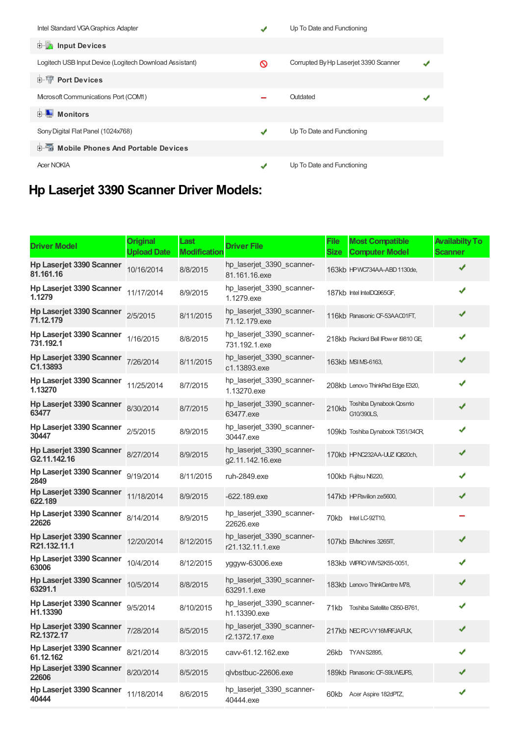| Intel Standard VGA Graphics Adapter                     |   | Up To Date and Functioning            |  |
|---------------------------------------------------------|---|---------------------------------------|--|
| <b>E</b> Input Devices                                  |   |                                       |  |
| Logitech USB Input Device (Logitech Download Assistant) | ∾ | Corrupted By Hp Laserjet 3390 Scanner |  |
| <b>E-19 Port Devices</b>                                |   |                                       |  |
| Mcrosoft Communications Port (COM1)                     |   | Outdated                              |  |
| <b>E</b> Monitors                                       |   |                                       |  |
| Sony Digital Flat Panel (1024x768)                      | J | Up To Date and Functioning            |  |
| <b>E-</b> Mobile Phones And Portable Devices            |   |                                       |  |
| <b>Acer NOKIA</b>                                       | ✔ | Up To Date and Functioning            |  |

## **Hp Laserjet 3390 Scanner Driver Models:**

| <b>Driver Model</b>                                  | <b>Original</b><br><b>Upload Date</b> | Last<br><b>Modification</b> | <b>Driver File</b>                            | <b>File</b><br><b>Size</b> | <b>Most Compatible</b><br><b>Computer Model</b> | <b>Availabilty To</b><br><b>Scanner</b> |
|------------------------------------------------------|---------------------------------------|-----------------------------|-----------------------------------------------|----------------------------|-------------------------------------------------|-----------------------------------------|
| <b>Hp Laserjet 3390 Scanner</b><br>81.161.16         | 10/16/2014                            | 8/8/2015                    | hp_laserjet_3390_scanner-<br>81.161.16.exe    |                            | 163kb HPWC734AA-ABD 1130de,                     | ✔                                       |
| Hp Laserjet 3390 Scanner<br>1.1279                   | 11/17/2014                            | 8/9/2015                    | hp_laserjet_3390_scanner-<br>1.1279 exe       |                            | 187kb Intel IntelDQ965GF,                       | ✔                                       |
| Hp Laserjet 3390 Scanner<br>71.12.179                | 2/5/2015                              | 8/11/2015                   | hp_laserjet_3390_scanner-<br>71.12.179.exe    |                            | 116kb Panasonic CF-53AAC01FT,                   | ✔                                       |
| Hp Laserjet 3390 Scanner<br>731.192.1                | 1/16/2015                             | 8/8/2015                    | hp laserjet 3390 scanner-<br>731.192.1.exe    |                            | 218kb Packard Bell IPower I9810 GE              | ✔                                       |
| Hp Laserjet 3390 Scanner<br>C1.13893                 | 7/26/2014                             | 8/11/2015                   | hp laserjet 3390 scanner-<br>c1.13893.exe     |                            | 163kb MSI MS-6163,                              | ✔                                       |
| Hp Laserjet 3390 Scanner<br>1.13270                  | 11/25/2014                            | 8/7/2015                    | hp_laserjet_3390_scanner-<br>1.13270.exe      |                            | 208kb Lenovo ThinkPad Edge E320,                | ✔                                       |
| Hp Laserjet 3390 Scanner<br>63477                    | 8/30/2014                             | 8/7/2015                    | hp_laserjet_3390_scanner-<br>63477.exe        | 210kb                      | Toshiba Dynabook Qosmo<br>G10/390LS.            | ✔                                       |
| Hp Laserjet 3390 Scanner<br>30447                    | 2/5/2015                              | 8/9/2015                    | hp_laserjet_3390_scanner-<br>30447.exe        |                            | 109kb Toshiba Dynabook T351/34CR,               | ✔                                       |
| Hp Laserjet 3390 Scanner<br>G <sub>2.11.142.16</sub> | 8/27/2014                             | 8/9/2015                    | hp_laserjet_3390_scanner-<br>g2.11.142.16.exe |                            | 170kb HPNC232AA-UUZ IQ820ch,                    | ✔                                       |
| Hp Laserjet 3390 Scanner<br>2849                     | 9/19/2014                             | 8/11/2015                   | ruh-2849.exe                                  |                            | 100kb Fujitsu N6220,                            | ✔                                       |
| Hp Laserjet 3390 Scanner<br>622.189                  | 11/18/2014                            | 8/9/2015                    | $-622.189$ .exe                               |                            | 147kb HP Pavilion ze5600,                       | ✔                                       |
| Hp Laserjet 3390 Scanner<br>22626                    | 8/14/2014                             | 8/9/2015                    | hp_laserjet_3390_scanner-<br>22626.exe        | 70kb                       | Intel LC-92T10,                                 |                                         |
| <b>Hp Laserjet 3390 Scanner</b><br>R21.132.11.1      | 12/20/2014                            | 8/12/2015                   | hp_laserjet_3390_scanner-<br>r21.132.11.1.exe |                            | 107kb EMachines 3265IT,                         | ✔                                       |
| Hp Laserjet 3390 Scanner<br>63006                    | 10/4/2014                             | 8/12/2015                   | yggyw-63006.exe                               |                            | 183kb WIPRO WIV52K55-0051,                      | ✔                                       |
| Hp Laserjet 3390 Scanner<br>63291.1                  | 10/5/2014                             | 8/8/2015                    | hp_laserjet_3390_scanner-<br>63291.1.exe      |                            | 183kb Lenovo ThinkCentre M78,                   | ✔                                       |
| Hp Laserjet 3390 Scanner 9/5/2014<br>H1.13390        |                                       | 8/10/2015                   | hp_laserjet_3390_scanner-<br>h1.13390.exe     | 71kb                       | Toshiba Satellite C850-B761,                    | ✔                                       |
| Hp Laserjet 3390 Scanner<br>R2.1372.17               | 7/28/2014                             | 8/5/2015                    | hp_laserjet_3390_scanner-<br>r2.1372.17.exe   |                            | 217kb NECPC-VY16MRFJAFUX,                       |                                         |
| Hp Laserjet 3390 Scanner<br>61.12.162                | 8/21/2014                             | 8/3/2015                    | cavv-61.12.162.exe                            |                            | 26kb TYAN S2895,                                | ✔                                       |
| Hp Laserjet 3390 Scanner<br>22606                    | 8/20/2014                             | 8/5/2015                    | qlvbstbuc-22606.exe                           |                            | 189kb Panasonic CF-S9LWEJPS,                    | ✔                                       |
| Hp Laserjet 3390 Scanner<br>40444                    | 11/18/2014                            | 8/6/2015                    | hp_laserjet_3390_scanner-<br>40444.exe        |                            | 60kb Acer Aspire 182dPTZ,                       | ✔                                       |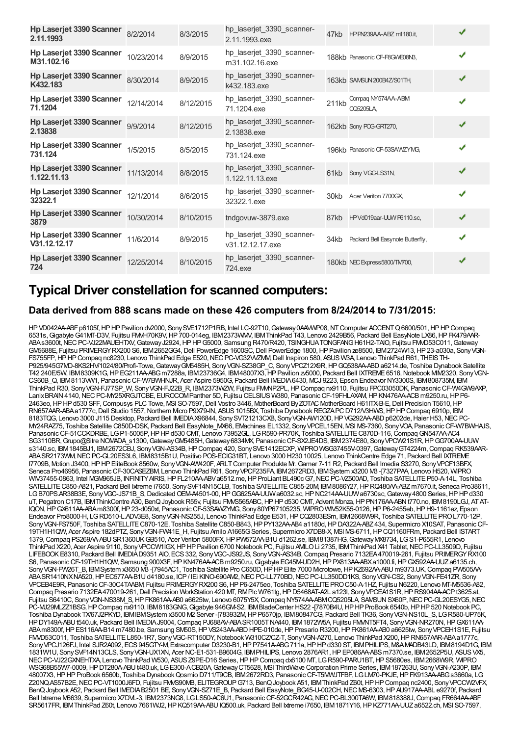| <b>Hp Laserjet 3390 Scanner</b><br>2.11.1993   | 8/2/2014   | 8/3/2015  | hp_laserjet_3390_scanner-<br>2.11.1993.exe    |       | 47kb HP PN239AA-ABZ m1180.it,          | ✔ |
|------------------------------------------------|------------|-----------|-----------------------------------------------|-------|----------------------------------------|---|
| Hp Laserjet 3390 Scanner<br>M31.102.16         | 10/23/2014 | 8/9/2015  | hp_laserjet_3390_scanner-<br>m31.102.16.exe   |       | 188kb Panasonic CF-F8GWE08N3.          | ✔ |
| <b>Hp Laserjet 3390 Scanner</b><br>K432.183    | 8/30/2014  | 8/9/2015  | hp_laserjet_3390_scanner-<br>k432.183.exe     |       | 163kb SAMSUN 200B4Z/S01TH,             | ✔ |
| Hp Laserjet 3390 Scanner<br>71.1204            | 12/14/2014 | 8/12/2015 | hp_laserjet_3390_scanner-<br>71.1204.exe      | 211kb | Compag NY574AA-ABM<br><b>CQ5205LA.</b> | ✔ |
| <b>Hp Laserjet 3390 Scanner</b><br>2.13838     | 9/9/2014   | 8/12/2015 | hp_laserjet_3390_scanner-<br>2.13838.exe      |       | 162kb Sony POG-GRT270,                 | ✔ |
| Hp Laserjet 3390 Scanner<br>731.124            | 1/5/2015   | 8/5/2015  | hp_laserjet_3390_scanner-<br>731.124.exe      |       | 196kh Panasonic CF-53SAWZYMG.          | ✔ |
| <b>Hp Laserjet 3390 Scanner</b><br>1.122.11.13 | 11/13/2014 | 8/8/2015  | hp_laserjet_3390_scanner-<br>1.122.11.13.exe  | 61kb  | Sony VGC-LS31N,                        | ✔ |
| Hp Laserjet 3390 Scanner<br>32322.1            | 12/1/2014  | 8/6/2015  | hp_laserjet_3390_scanner-<br>32322.1.exe      | 30kb  | Acer Veriton 7700GX.                   | ✔ |
| <b>Hp Laserjet 3390 Scanner</b><br>3879        | 10/30/2014 | 8/10/2015 | tndgovuw-3879.exe                             |       | 87kb HPVd019aar-UUW P6110.sc,          | ✔ |
| Hp Laserjet 3390 Scanner<br>V31.12.12.17       | 11/6/2014  | 8/9/2015  | hp_laserjet_3390_scanner-<br>v31.12.12.17.exe | 34kb  | Packard Bell Easynote Butterfly,       | ✔ |
| Hp Laserjet 3390 Scanner<br>724                | 12/25/2014 | 8/10/2015 | hp laserjet 3390 scanner-<br>724.exe          |       | 180kb NEC Express5800/TM700,           | ✔ |

### **Typical Driver constellation for scanned computers:**

#### **Data derived from 888 scans made on these 426 computers from 8/24/2014 to 7/31/2015:**

HPVD042AA-ABFp6105f,HPHPPavilion dv2000, SonySVE1712P1RB, Intel LC-92T10, Gateway0AAWVP08,NTComputer ACCENTQ6600/501,HPHPCompaq 6531s, Gigabyte G41MT-D3V, Fujitsu FMMH70K9V, HP 700-014eg, IBM2373VMM, IBMThinkPad T43, Lenovo 2429B56, Packard Bell EasyNote LX86, HP FK479AAR-ABAs3600t, NEC PC-VJ22MAUEHTXV, Gateway J2924, HP HP G5000, Samsung R470/R420, TSINGHUATONGFANG H61H2-TAIO, Fujitsu FMMD53C011, Gateway GM5688E, Fujitsu PRIMERGYRX200 S6, IBM2652GG4,Dell PowerEdge 1600SC,Dell PowerEdge 1800,HPPavilion ze8500, IBM2724W13,HP23-a030a, SonyVGN-FS755FP, HP HP Compaq nc8230, Lenovo ThinkPad Edge E520, NEC PC-VG32VVZMM, Dell Inspiron 580, ASUS W3A, Lenovo ThinkPad R61, THEIS TH-P925/945G7MD-8KS2HV/1024/80/Profi-Towe, Gateway GM5485H, Sony VGN-SZ38GP C, Sony VPCZ12X9R, HP GQ538AA-ABD a6214.de, Toshiba Dynabook Satellite T42 240E/5W, IBM8309K1G,HPEG211AA-ABGm7288a, IBM23736G4, IBM48007X3,HPPavilion zv5000, Packard Bell IXTREME6516,Notebook MIM2320, SonyVGN-CS60B\_Q, IBM8113VW1, PanasonicCF-W7BWHNJR, Acer Aspire 5950G, Packard Bell IMEDIA6430, MCJ 9223, Epson Endeavor NY3300S, IBM808735M, IBM ThinkPad R30, Sony VGN-FJ77SP\_W, Sony VGN-FJ22B\_R, IBM2373WZW, Fujitsu FMMP2PL, HP Compaq nx9110, Fujitsu FPC03050DK, Panasonic CF-W4GW9AXP, Lanix BRAIN 4140, NEC PC-MY25XRGJTCBE, EUROCOM Panther 5D, Fujitsu CELSIUS W380, Panasonic CF-19FHLAXAM, HP KN476AA-ACB m9250.ru, HP P6-2463eo,HPHPd530 SFF,Compusys PLCTowe, MSI SO-7597,Dell Vostro 3446, MotherBoard ByZOTAC MotherBoard H61ITX-B-E,Dell Precision T5610,HP RN657AAR-ABAa1777c, Dell Studio 1557, Northern Mcro P9X79-IN, ASUS 1015BX, Toshiba Dynabook REGZAPC D712/V3HWS, HP HP Compaq 6910p, IBM 8183TQG, Lenovo 3000 J115 Desktop, Packard Bell IMEDIA X96844, Sony SVT21213CXB, Sony VGN-AW120D, HP VG292AA-ABD p6202de, Haier H53, NEC PC-MY24RAZ75, Toshiba Satellite C850D-DSK, Packard Bell EasyNote\_MX66, EMachines EL1332, SonyVPCEL15EN, MSI MS-7360, SonyVOA, PanasonicCF-W7BWHAJS, Panasonic CF-51CCKDRBE, LGP1-5005P, HP HP d530 CMT, Lenovo 73952GL, LGR590-PR70K, Toshiba SATELLITE C870D-116, Compaq GN547AA-AC4 SG3110BR, Grupo@Sitre NOMADA\_s1300, Gateway GM5485H, Gateway 6834MX, Panasonic CF-SX2JE4DS, IBM2374E80, Sony VPCW21S1R, HP GG700AA-UUW s3140.sc, IBM1845BJ1, IBM2672CBJ, SonyVGN-AS34B,HPCompaq 420, SonySVE1412ECXP, WIPROWSG37455V-0397,GatewayGT4224m,Compaq RK539AAR-ABASR2173WM,NECPC-GL20ES3L6, IBM8315B1U, Positivo POS-ECIG31BT, Lenovo 3000 H230 10025, Lenovo ThinkCentre Edge 71, Packard Bell IXTREME I7709B, Motion J3400, HP HP EliteBook 8560w, Sony VGN-AW420F, ARLT Computer Produkte Mr. Gamer 7-11 R2, Packard Bell Imedia S3270, Sony VPCF13BFX, Seneca Pro46956, Panasonic CF-30CASEZBM, Lenovo ThinkPad R61, Sony VPCF235FA, IBM2672RD3, IBMSystem x3200 M3 -[7327PAA, Lenovo H520, WIPRO WIV37455-0863, Intel MGM965JB, INFINITY AIRIS, HP FL210AA-ABVa6512.me, HP ProLiant BL490c G7, NEC PC-VZ500AD, Toshiba SATELLITE P50-A-14L, Toshiba SATELLITE C850-A821, Packard Bell Ixtreme i7650, SonySVF14N15CLB, Toshiba SATELLITE C855-20M, IBM8086Y27, HP RO480AA-ABZ m7670.it, Seneca Pro38611, LGB70PS.AR38B3E, Sony VGC-JS71B\_S,Dedicated OEM-A4501-00, HP GG625AA-UUW a6032.sc, HP NC214AA-UUWa6730sc, Gateway 4800 Series, HP HP d330 uT, Pegatron C17B, IBMThinkCentre A30, BenQ Joybook R55v, Fujitsu FMVS565ABC, HP HP d530 CMT, Advent Monza, HP PN176AA-ABN t770.no, IBM8190LGJ, AT AT-IQON,HPGX611AA-ABAm8300f,HP23-d050xt, PanasonicCF-53SAWZYMG, Sony80YP67105235, WIPROWIV52K55-0126,HPP6-2455eb,HPH9-1161ez, Epson Endeavor Pro8000-H, LGRD510-L.ADV3E8, Sony VGN-NS255J, Lenovo ThinkPad Edge E531, HP CQ2803ESm, IBM2668W9R, Toshiba SATELLITE PRO L770-12P, Sony VGN-FS750F, Toshiba SATELLITE C870-12E, Toshiba Satellite C850-B843, HP PY132AA-AB4 a1180d, HP DA322A-ABZ 434, Supermicro X10SAT, Panasonic CF-19TH1H1QW, Acer Aspire 182dPTZ, SonyVGN-FW41E\_H, Fujitsu Amilo A1665GSeries, Supermicro X7DB8-X, MSI MS-6711,HPCQ1160FRm, Packard Bell ISTART 1379,Compaq PS269AA-ABUSR1360UKGB510, Acer Veriton 5800FX,HPPW572AA-B1Ud1262.se, IBM81387HG,GatewayMX8734, LGS1-P655R1, Lenovo ThinkPad X220, Acer Aspire 9110, Sony VPCCW1IGX, HP HP Pavilion 6700 Notebook PC, Fujitsu AMLO Li 2735, IBM ThinkPad X41 Tablet, NEC PC-LL3509D, Fujitsu LIFEBOOKE8310, Packard Bell IMEDIAD9351 AIO, ECS332, SonyVGC-JS92JS, SonyVGN-AS34B,Compaq Presario 7132EA470019-261, Fujitsu PRIMERGYRX100 S6, PanasonicCF-19TH1H1QW, Samsung 900X3F,HPKN476AA-ACBm9250.ru,Gigabyte EG45M-UD2H,HPPX813AA-ABXa1000.fi,HPGX592AA-UUZa6135.ch, Sony VGN-FW26T\_B, IBMSystem x3650 M3 -[7945AC1, Toshiba Satellite Pro C650D, HP HP Elite 7000 Mcrotowe, HP KZ692AA-ABU m9373.UK, Compaq PW505AA-ABASR1410NXNA520, HP EC577AA-B1U d4180.se, ICP / IEi KINO-690AM2, NEC PC-LL770BD, NEC PC-LL350DD1KS, Sony VGN-CS2, Sony VGN-FE41ZR, Sony VPCEB4E9R, PanasonicCF-30C4TAABM, Fujitsu PRIMERGYRX200 S6,HPP6-2475eo, Toshiba SATELLITEPROC50-A-1HZ, Fujitsu N6220, Lenovo MT-M5536-A82, Compaq Presario 7132EA470019-261, Dell Precision WorkStation 420 MT, RMPlc W761tg, HP D5468AT-A2L a123l, Sony VPCEA1S1R, HP RS904AA-ACPt3625.at, Fujitsu S6410C, SonyVGN-NS38M\_S,HPFK861AA-AB0 a6625tw, Lenovo 6075Y5X,Compaq NY574AA-ABMCQ5205LA, SAMSUNSX60P,NECPC-GL20ESYG5,NEC PC-MJ29MLZZ1BSG, HP Compaq nx9110, IBM8183GNG, Gigabyte 946GM-S2, IBMBladeCenter HS22 -[7870B4U, HP HP ProBook 6540b, HP HP 520 Notebook PC, Toshiba Dynabook TX/67J2PKYD, IBMIBMSystem x3500 M2 Server -[783932M,HPP6570jp, IBM80847CG, Packard Bell TK36, SonyVGN-NS10L\_S, LGR580-UP75K, HP DY149A-ABU t540.uk, Packard Bell IMEDIAJ9004, Compaq PJ688AV-ABA SR1005T NA440, IBM1872W5A, Fujitsu FMMT5FT4, Sony VGN-NR270N, HP GX611AA-ABAm8300f,HPES116AA-B14 m7480.be, Samsung SM50S,HPVS243AA-ABDHPE-010de,HPPresario R3200,HPFK861AA-AB0 a6625tw, SonyVPCEH1S1E, Fujitsu FMVD53C011, Toshiba SATELLITEL850-1R7, SonyVGC-RT150DY,Notebook W310CZ/CZ-T, SonyVGN-A270, Lenovo ThinkPad X200,HPRN657AAR-ABAa1777c, Sony VPCJ126FJ, Intel SJR2A092, ECS 945GTY-M, Extracomputer D3230-B1, HP P7541A-ABG 711a, HP HP d330 ST, IBM PHILIPS, M&A MADB43LD, IBM8194D1G, IBM 1831W1U, SonySVF14N13CLS, SonyVGN-UX1XN, Acer NC-E1-531-B9604G, IBMPHILIPS, Lenovo 2876AR1,HPEP086AA-ABSm7370.se, IBM2652P5U, ASUSVX5, NEC PC-VJ22GXNEHTXA, Lenovo ThinkPad W530, ASUS Z9PE-D16 Series, HP HP Compaq dx6100 MT, LG R590-PARU1BT, HP S5680es, IBM2668W9R, WIPRO WSG68B55W7-0009, HP DT280A-ABU 1480.uk, LG E300-A CB20A Gateway CT5628, MSI ThirdWave Corporation Prime Series, IBM 187263U, Sony VGN-A230P, IBM 48007X3,HPHPProBook 6560b, Toshiba DynabookQosmio D711/T9CB, IBM2672RD3, PanasonicCF-T5MWJTFBF, LGLM70-PKJE,HPFK913AA-ABGs3660a, LG Z20NQ.AS57B2E,NECPC-VT1000J6FD, Fujitsu FMVS90MB, ELITEGROUPG713, BenQJoybook A51, IBMThinkPad Z60t,HPHPCompaq nc2400, SonyVPCCW2VFX, BenQJoybook A52, Packard Bell IMEDIAB2501 BE, SonyVGN-SZ71E\_B, Packard Bell EasyNote\_BG45-U-002CH,NEC MS-6303,HPAU917AA-ABL e9270f, Packard Bell Ixtreme M6639, Supermicro X7DVL-3, IBM2373NG8, LGLS50-AC6U1, PanasonicCF-52GCR42AG,NECPC-BL300TA6W, IBM818388J,Compaq FR664AA-ABF SR5617FR, IBMThinkPad Z60t, Lenovo 7661WJ2,HPKQ519AA-ABUIQ500.uk, Packard Bell Ixtreme i7650, IBM1871Y16,HPKZ771AA-UUZa6522.ch, MSI SO-7597,